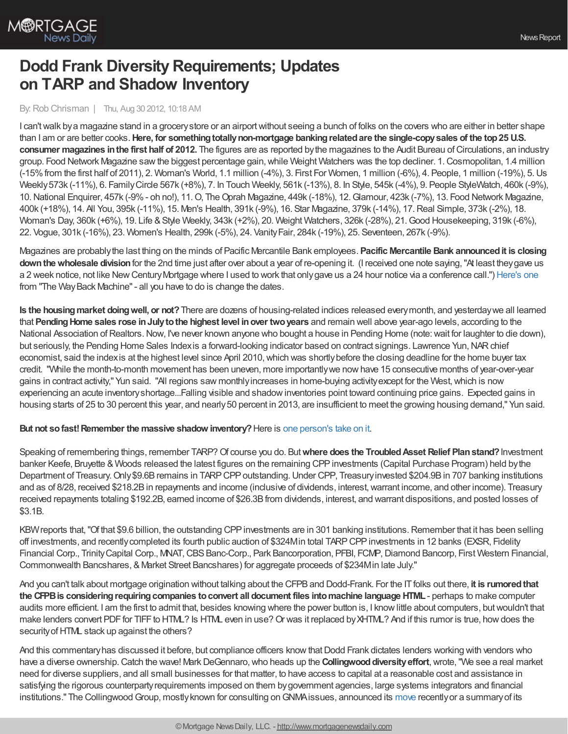

# **Dodd Frank Diversity Requirements; Updates on TARP and Shadow Inventory**

By: Rob Chrisman | Thu, Aug 30 2012, 10:18 AM

I can't walk by a magazine stand in a grocery store or an airport without seeing a bunch of folks on the covers who are either in better shape than I am or are better cooks.**Here, for somethingtotallynon-mortgage bankingrelatedare the single-copysales of the top25 U.S. consumer magazines in the first half of 2012.** The figures are as reported by the magazines to the Audit Bureau of Circulations, an industry group. Food Network Magazine sawthe biggest percentage gain,while Weight Watchers was the top decliner. 1.Cosmopolitan, 1.4 million (-15%from the first half of 2011), 2. Woman's World, 1.1 million (-4%), 3. First For Women, 1 million (-6%), 4. People, 1 million (-19%), 5.Us Weekly573k (-11%), 6. FamilyCircle 567k (+8%), 7. In Touch Weekly, 561k (-13%), 8. In Style, 545k (-4%), 9. People StyleWatch, 460k (-9%), 10.National Enquirer, 457k (-9%- oh no!), 11.O, TheOprah Magazine, 449k (-18%), 12.Glamour, 423k (-7%), 13. Food Network Magazine, 400k (+18%), 14. All You, 395k (-11%), 15. Men's Health, 391k (-9%), 16. Star Magazine, 379k (-14%), 17.Real Simple, 373k (-2%), 18. Woman's Day, 360k (+6%), 19. Life & Style Weekly, 343k (+2%), 20. Weight Watchers, 326k (-28%), 21. Good Housekeeping, 319k (-6%), 22. Vogue, 301k (-16%), 23. Women's Health, 299k (-5%), 24. VanityFair, 284k (-19%), 25. Seventeen, 267k (-9%).

Magazines are probablythe last thing on the minds of Pacific Mercantile Bank employees. **Pacific Mercantile Bank announcedit is closing downthewholesale division**for the 2nd time just after over about a year of re-opening it. (I received one note saying,"At least theygave us a 2 week notice, not like NewCenturyMortgage where I used to work that onlygave us a 24 hour notice via a conference call.") [Here's](http://articles.marketwatch.com/2005-06-27/news/30896909_1_wholesale-mortgage-pacific-mercantile-bank-banking-business) one from "The Way Back Machine" - all you have to do is change the dates.

**Is the housingmarket doingwell, or not?**There are dozens of housing-related indices released everymonth, and yesterdaywe all learned that **PendingHome sales rose inJulytothe highest level inover twoyears** and remain well above year-ago levels, according to the National Association of Realtors. Now, I've never known anyone who bought a house in Pending Home (note: wait for laughter to die down), but seriously, the Pending Home Sales Indexis a forward-looking indicator based on contract signings. Lawrence Yun, NAR chief economist, said the index is at the highest level since April 2010, which was shortly before the closing deadline for the home buyer tax credit. "While the month-to-month movement has been uneven, more importantlywe nowhave 15 consecutive months of year-over-year gains in contract activity," Yun said. "All regions saw monthlyincreases in home-buying activityexcept for the West,which is now experiencing an acute inventoryshortage...Falling visible and shadowinventories point toward continuing price gains. Expected gains in housing starts of 25 to 30 percent this year, and nearly 50 percent in 2013, are insufficient to meet the growing housing demand," Yun said.

## **But not sofast!Remember the massive shadow inventory?**Here is one [person's](http://www.forbes.com/sites/afontevecchia/2012/08/28/what-housing-recovery-distressed-sales-still-high-shadow-inventory-massive/) take on it.

Speaking of remembering things, remember TARP? Of course you do. But where does the Troubled Asset Relief Plan stand? Investment banker Keefe, Bruyette & Woods released the latest figures on the remaining CPP investments (Capital Purchase Program) held by the Department of Treasury. Only \$9.6B remains in TARP CPP outstanding. Under CPP, Treasury invested \$204.9B in 707 banking institutions and as of 8/28, received \$218.2Bin repayments and income (inclusive of dividends, interest,warrant income, and other income). Treasury received repayments totaling \$192.2B, earned income of \$26.3Bfrom dividends, interest, and warrant dispositions, and posted losses of \$3.1B.

KBW reports that, "Of that \$9.6 billion, the outstanding CPP investments are in 301 banking institutions. Remember that it has been selling off investments, and recentlycompleted its fourth public auction of \$324Min total TARPCPPinvestments in 12 banks (EXSR, Fidelity Financial Corp., Trinity Capital Corp., MNAT, CBS Banc-Corp., Park Bancorporation, PFBI, FCMP, Diamond Bancorp, First Western Financial, Commonwealth Bancshares, & Market Street Bancshares) for aggregate proceeds of \$234Min late July."

And you can't talk about mortgage origination without talking about the CFPBand Dodd-Frank. For the ITfolks out there, **it is rumoredthat the CFPBis consideringrequiringcompanies toconvert all document files intomachine language HTML**- perhaps to make computer audits more efficient. I am the first to admit that, besides knowing where the power button is, I knowlittle about computers, butwouldn't that make lenders convert PDF for TIFF to HTML? Is HTML even in use? Or was it replaced by XHTML? And if this rumor is true, how does the security of HTML stack up against the others?

And this commentary has discussed it before, but compliance officers know that Dodd Frank dictates lenders working with vendors who have a diverse ownership. Catch the wave! Mark DeGennaro, who heads up the **Collingwood diversity effort**, wrote, "We see a real market need for diverse suppliers, and all small businesses for that matter, to have access to capital at a reasonable cost and assistance in satisfying the rigorous counterpartyrequirements imposed on them bygovernment agencies, large systems integrators and financial institutions." The Collingwood Group, mostly known for consulting on GNMA issues, announced its [move](http://www.prweb.com/releases/Collingwood/Asset-Management/prweb9736148.htm) recently or a summary of its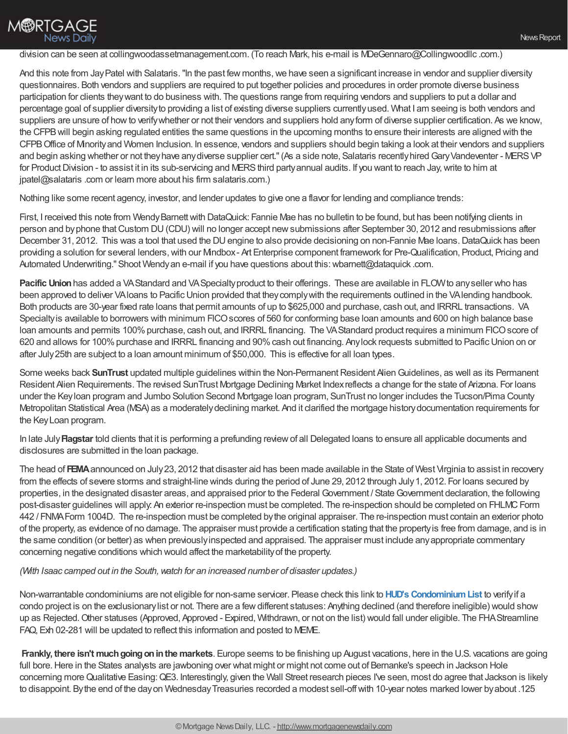## division can be seen at collingwoodassetmanagement.com. (To reach Mark, his e-mail is MDeGennaro@Collingwoodllc .com.)

And this note from Jay Patel with Salataris. "In the past few months, we have seen a significant increase in vendor and supplier diversity questionnaires. Both vendors and suppliers are required to put together policies and procedures in order promote diverse business participation for clients theywant to do business with. The questions range from requiring vendors and suppliers to put a dollar and percentage goal of supplier diversityto providing a list of existing diverse suppliers currentlyused. What I am seeing is both vendors and suppliers are unsure of howto verifywhether or not their vendors and suppliers hold anyform of diverse supplier certification. As we know, the CFPBwill begin asking regulated entities the same questions in the upcoming months to ensure their interests are aligned with the CFPBOffice of Minorityand Women Inclusion. In essence, vendors and suppliers should begin taking a look at their vendors and suppliers and begin asking whether or not they have any diverse supplier cert." (As a side note, Salataris recently hired Gary Vandeventer - MERS VP for Product Division - to assist it in its sub-servicing and MERS third party annual audits. If you want to reach Jay, write to him at jpatel@salataris .com or learn more about his firm salataris.com.)

Nothing like some recent agency, investor, and lender updates to give one a flavor for lending and compliance trends:

First, I received this note from WendyBarnettwith DataQuick: Fannie Mae has no bulletin to be found, but has been notifying clients in person and byphone thatCustom DU(CDU) will no longer accept newsubmissions after September 30, 2012 and resubmissions after December 31, 2012. This was a tool that used the DU engine to also provide decisioning on non-Fannie Mae Ioans. DataQuick has been providing a solution for several lenders,with our Mindbox- Art Enterprise component framework for Pre-Qualification, Product, Pricing and Automated Underwriting." Shoot Wendy an e-mail if you have questions about this: wbarnett@dataquick .com.

**Pacific Union** has added a VAStandard and VASpecialty product to their offerings. These are available in FLOW to any seller who has been approved to deliver VAloans to Pacific Union provided that they comply with the requirements outlined in the VAlending handbook. Both products are 30-year fixed rate loans that permit amounts of up to \$625,000 and purchase, cash out, and IRRRL transactions. VA Specialty is available to borrowers with minimum FICO scores of 560 for conforming base loan amounts and 600 on high balance base loan amounts and permits 100% purchase, cash out, and IRRRL financing. The VAStandard product requires a minimum FICO score of 620 and allows for 100% purchase and IRRRL financing and 90% cash out financing. Any lock requests submitted to Pacific Union on or after July25th are subject to a loan amount minimum of \$50,000. This is effective for all loan types.

Some weeks back **SunTrust** updated multiple guidelines within the Non-Permanent Resident Alien Guidelines, as well as its Permanent Resident Alien Requirements. The revised SunTrust Mortgage Declining Market Indexreflects a change for the state of Arizona. For loans under the Keyloan program and Jumbo Solution Second Mortgage loan program, SunTrust no longer includes the Tucson/Pima County Metropolitan Statistical Area (MSA) as a moderatelydeclining market. And it clarified the mortgage historydocumentation requirements for the KeyLoan program.

In late July**Flagstar** told clients that it is performing a prefunding reviewof all Delegated loans to ensure all applicable documents and disclosures are submitted in the loan package.

The head of **FEMA**announced on July23, 2012 that disaster aid has been made available in the State of West Virginia to assist in recovery from the effects of severe storms and straight-line winds during the period of June 29, 2012 through July1, 2012. For loans secured by properties, in the designated disaster areas, and appraised prior to the Federal Government / StateGovernment declaration, the following post-disaster guidelines will apply. An exterior re-inspection must be completed. The re-inspection should be completed on FHLMC Form 442 / FNMAForm 1004D. The re-inspection must be completed bythe original appraiser. The re-inspection must contain an exterior photo of the property, as evidence of no damage. The appraiser must provide a certification stating that the propertyis free from damage, and is in the same condition (or better) as when previouslyinspected and appraised. The appraiser must include anyappropriate commentary concerning negative conditions which would affect the marketabilityof the property.

## *(With Isaac camped out in the South,watch for an increased number of disaster updates.)*

Non-warrantable condominiums are not eligible for non-same servicer. Please check this link to **HUD's [CondominiumList](https://entp.hud.gov/idapp/html/condlook.cfm)** to verifyif a condo project is on the exclusionarylist or not. There are a fewdifferent statuses: Anything declined (and therefore ineligible) would show up as Rejected.Other statuses (Approved, Approved - Expired, Withdrawn, or not on the list) would fall under eligible. The FHAStreamline FAQ, Exh 02-281 will be updated to reflect this information and posted to MEME.

**Frankly, there isn't much going on in the markets**. Europe seems to be finishing up August vacations, here in the U.S. vacations are going full bore. Here in the States analysts are jawboning over what might or might not come out of Bernanke's speech in Jackson Hole concerning more Qualitative Easing: QE3. Interestingly, given the Wall Street research pieces I've seen, most do agree that Jackson is likely to disappoint. By the end of the day on Wednesday Treasuries recorded a modest sell-off with 10-year notes marked lower by about .125